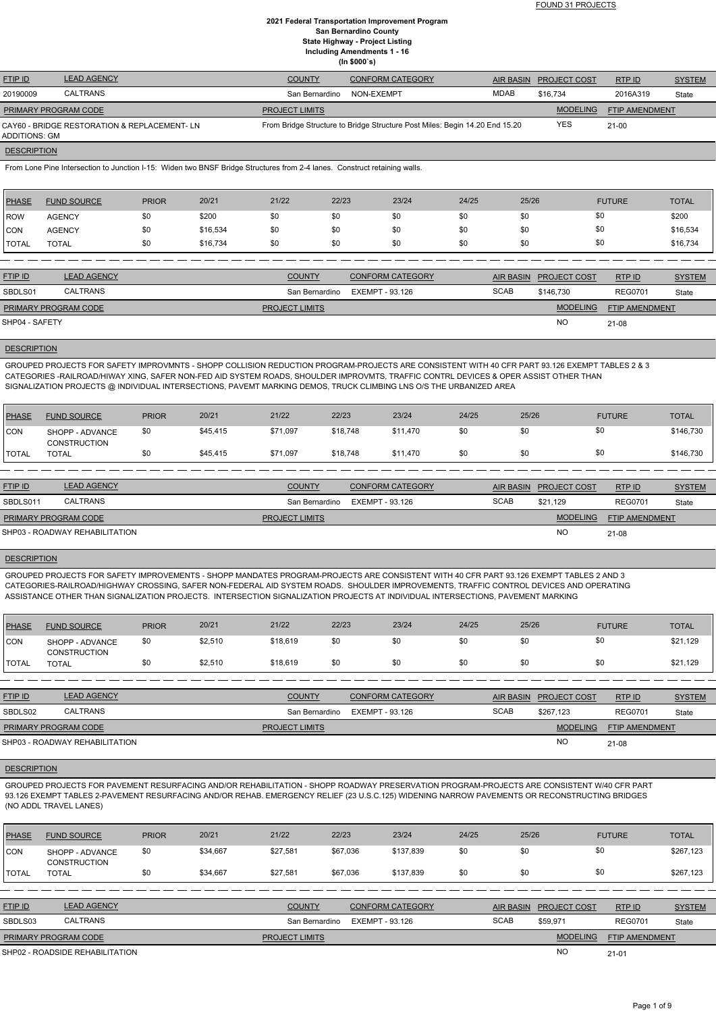FOUND 31 PROJECTS

### **2021 Federal Transportation Improvement Program San Bernardino County State Highway - Project Listing Including Amendments 1 - 16 (In \$000`s)**

| <b>FTIP ID</b>       | <b>LEAD AGENCY</b>                           | <b>COUNTY</b>         | <b>CONFORM CATEGORY</b>                                                     |      | AIR BASIN PROJECT COST | RTP ID                | <b>SYSTEM</b> |
|----------------------|----------------------------------------------|-----------------------|-----------------------------------------------------------------------------|------|------------------------|-----------------------|---------------|
| 20190009             | CALTRANS                                     | San Bernardino        | NON-EXEMPT                                                                  | MDAB | \$16,734               | 2016A319              | State         |
| PRIMARY PROGRAM CODE |                                              | <b>PROJECT LIMITS</b> |                                                                             |      | <b>MODELING</b>        | <b>FTIP AMENDMENT</b> |               |
| ADDITIONS: GM        | CAY60 - BRIDGE RESTORATION & REPLACEMENT- LN |                       | From Bridge Structure to Bridge Structure Post Miles: Begin 14.20 End 15.20 |      | <b>YES</b>             | $21 - 00$             |               |
| <b>DESCRIPTION</b>   |                                              |                       |                                                                             |      |                        |                       |               |

From Lone Pine Intersection to Junction I-15: Widen two BNSF Bridge Structures from 2-4 lanes. Construct retaining walls.

| <b>PHASE</b> | <b>FUND SOURCE</b> | <b>PRIOR</b> | 20/21    | 21/22 | 22/23 | 23/24 | 24/25 | 25/26 | <b>FUTURE</b> | <b>TOTAL</b> |
|--------------|--------------------|--------------|----------|-------|-------|-------|-------|-------|---------------|--------------|
| <b>ROW</b>   | <b>AGENCY</b>      | \$0          | \$200    | \$0   | \$0   | \$0   | \$0   | \$0   | \$0           | \$200        |
| <b>CON</b>   | <b>AGENCY</b>      | \$0          | \$16,534 | \$0   | \$0   | \$0   | \$0   | \$0   | \$0           | \$16,534     |
| TOTAL        | <b>TOTAL</b>       | \$0          | \$16,734 | \$0   | \$0   | \$0   | \$0   | \$0   | \$0           | \$16,734     |
|              |                    |              |          |       |       |       |       |       |               |              |

| <b>FTIP ID</b>              | <b>LEAD AGENCY</b> | <b>COUNTY</b>         | <b>CONFORM CATEGORY</b> |             | AIR BASIN PROJECT COST | RTPID                 | <b>SYSTEM</b> |
|-----------------------------|--------------------|-----------------------|-------------------------|-------------|------------------------|-----------------------|---------------|
| SBDLS01                     | CALTRANS           | San Bernardino        | EXEMPT - 93.126         | <b>SCAB</b> | \$146.730              | <b>REG0701</b>        | State         |
| <b>PRIMARY PROGRAM CODE</b> |                    | <b>PROJECT LIMITS</b> |                         |             | <b>MODELING</b>        | <b>FTIP AMENDMENT</b> |               |
| SHP04 - SAFETY              |                    |                       |                         |             | <b>NO</b>              | $21 - 08$             |               |

### **DESCRIPTION**

GROUPED PROJECTS FOR SAFETY IMPROVMNTS - SHOPP COLLISION REDUCTION PROGRAM-PROJECTS ARE CONSISTENT WITH 40 CFR PART 93.126 EXEMPT TABLES 2 & 3 CATEGORIES -RAILROAD/HIWAY XING, SAFER NON-FED AID SYSTEM ROADS, SHOULDER IMPROVMTS, TRAFFIC CONTRL DEVICES & OPER ASSIST OTHER THAN SIGNALIZATION PROJECTS @ INDIVIDUAL INTERSECTIONS, PAVEMT MARKING DEMOS, TRUCK CLIMBING LNS O/S THE URBANIZED AREA

| PHASE          | <b>FUND SOURCE</b>              | <b>PRIOR</b> | 20/21    | 21/22    | 22/23    | 23/24    | 24/25 | 25/26 | <b>FUTURE</b> | <b>TOTAL</b> |
|----------------|---------------------------------|--------------|----------|----------|----------|----------|-------|-------|---------------|--------------|
| <b>CON</b>     | SHOPP - ADVANCE<br>CONSTRUCTION | \$0          | \$45,415 | \$71,097 | \$18,748 | \$11,470 | \$0   | \$0   | \$0           | \$146,730    |
| <b>I</b> TOTAL | <b>TOTAL</b>                    |              | \$45,415 | \$71,097 | \$18,748 | \$11,470 | \$0   | \$0   | \$0           | \$146,730    |

| <b>FTIP ID</b>              | <b>LEAD AGENCY</b>             | <b>COUNTY</b>         | <b>CONFORM CATEGORY</b> | <b>AIR BASIN</b> | <b>PROJECT COST</b> | RTPID                 | <b>SYSTEM</b> |
|-----------------------------|--------------------------------|-----------------------|-------------------------|------------------|---------------------|-----------------------|---------------|
| SBDLS011                    | <b>CALTRANS</b>                | San Bernardino        | EXEMPT - 93.126         | <b>SCAB</b>      | \$21.129            | <b>REG0701</b>        | State         |
| <b>PRIMARY PROGRAM CODE</b> |                                | <b>PROJECT LIMITS</b> |                         |                  | <b>MODELING</b>     | <b>FTIP AMENDMENT</b> |               |
|                             | SHP03 - ROADWAY REHABILITATION |                       |                         |                  | <b>NO</b>           | 21-08                 |               |

#### **DESCRIPTION**

GROUPED PROJECTS FOR SAFETY IMPROVEMENTS - SHOPP MANDATES PROGRAM-PROJECTS ARE CONSISTENT WITH 40 CFR PART 93.126 EXEMPT TABLES 2 AND 3 CATEGORIES-RAILROAD/HIGHWAY CROSSING, SAFER NON-FEDERAL AID SYSTEM ROADS. SHOULDER IMPROVEMENTS, TRAFFIC CONTROL DEVICES AND OPERATING ASSISTANCE OTHER THAN SIGNALIZATION PROJECTS. INTERSECTION SIGNALIZATION PROJECTS AT INDIVIDUAL INTERSECTIONS, PAVEMENT MARKING

| PHASE        | <b>FUND SOURCE</b>                     | <b>PRIOR</b> | 20/21   | 21/22    | 22/23 | 23/24 | 24/25 | 25/26 | <b>FUTURE</b> | <b>TOTAL</b> |
|--------------|----------------------------------------|--------------|---------|----------|-------|-------|-------|-------|---------------|--------------|
| <b>CON</b>   | SHOPP - ADVANCE<br><b>CONSTRUCTION</b> | \$0          | \$2,510 | \$18,619 | \$0   | \$0   | \$0   | \$0   | \$0           | \$21,129     |
| <b>TOTAL</b> | <b>TOTAL</b>                           |              | \$2,510 | \$18,619 | \$0   | \$0   | \$0   | \$0   | \$0           | \$21,129     |

| <b>FTIP ID</b>              | <b>LEAD AGENCY</b>             | <b>COUNTY</b>         | <b>CONFORM CATEGORY</b> | <b>AIR BASIN</b> | <b>PROJECT COST</b> | RTPID                 | <b>SYSTEM</b> |
|-----------------------------|--------------------------------|-----------------------|-------------------------|------------------|---------------------|-----------------------|---------------|
| SBDLS02                     | <b>CALTRANS</b>                | San Bernardino        | EXEMPT - 93.126         | <b>SCAB</b>      | \$267.123           | <b>REG0701</b>        | State         |
| <b>PRIMARY PROGRAM CODE</b> |                                | <b>PROJECT LIMITS</b> |                         |                  | <b>MODELING</b>     | <b>FTIP AMENDMENT</b> |               |
|                             | SHP03 - ROADWAY REHABILITATION |                       |                         |                  | <b>NO</b>           | 21-08                 |               |

#### **DESCRIPTION**

GROUPED PROJECTS FOR PAVEMENT RESURFACING AND/OR REHABILITATION - SHOPP ROADWAY PRESERVATION PROGRAM-PROJECTS ARE CONSISTENT W/40 CFR PART 93.126 EXEMPT TABLES 2-PAVEMENT RESURFACING AND/OR REHAB. EMERGENCY RELIEF (23 U.S.C.125) WIDENING NARROW PAVEMENTS OR RECONSTRUCTING BRIDGES (NO ADDL TRAVEL LANES)

| <b>PHASE</b>   | <b>FUND SOURCE</b>                     | <b>PRIOR</b> | 20/21    | 21/22                 | 22/23           | 23/24                   | 24/25 | 25/26            |                     | <b>FUTURE</b>         | <b>TOTAL</b>  |
|----------------|----------------------------------------|--------------|----------|-----------------------|-----------------|-------------------------|-------|------------------|---------------------|-----------------------|---------------|
| <b>CON</b>     | SHOPP - ADVANCE<br><b>CONSTRUCTION</b> | \$0          | \$34,667 | \$27.581              | \$67,036        | \$137,839               | \$0   | \$0              | \$0                 |                       | \$267,123     |
| <b>I</b> TOTAL | <b>TOTAL</b>                           | \$0          | \$34,667 | \$27.581              | \$67,036        | \$137.839               | \$0   | \$0              | \$0                 |                       | \$267,123     |
|                |                                        |              |          |                       |                 |                         |       |                  |                     |                       |               |
| <b>FTIP ID</b> | <b>LEAD AGENCY</b>                     |              |          | <b>COUNTY</b>         |                 | <b>CONFORM CATEGORY</b> |       | <b>AIR BASIN</b> | <b>PROJECT COST</b> | RTP ID                | <b>SYSTEM</b> |
| SBDLS03        | <b>CALTRANS</b>                        |              |          | San Bernardino        | EXEMPT - 93.126 |                         |       | <b>SCAB</b>      | \$59,971            | <b>REG0701</b>        | State         |
|                | PRIMARY PROGRAM CODE                   |              |          | <b>PROJECT LIMITS</b> |                 |                         |       |                  | <b>MODELING</b>     | <b>FTIP AMENDMENT</b> |               |
|                | SHP02 - ROADSIDE REHABILITATION        |              |          |                       |                 |                         |       |                  | NO                  | $21 - 01$             |               |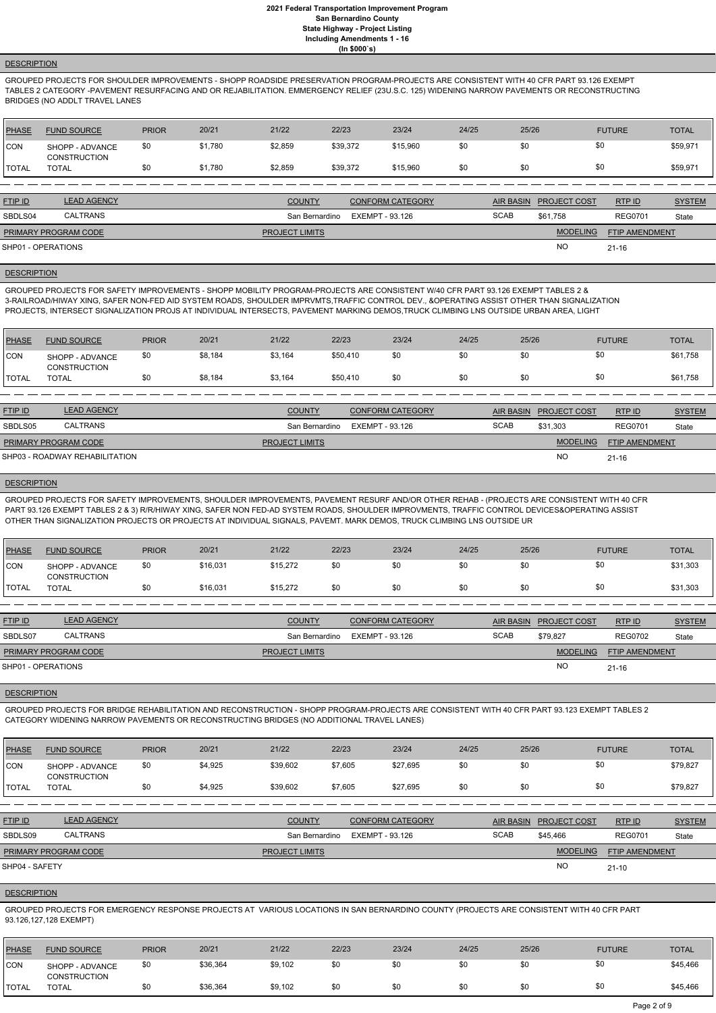# **DESCRIPTION**

GROUPED PROJECTS FOR SHOULDER IMPROVEMENTS - SHOPP ROADSIDE PRESERVATION PROGRAM-PROJECTS ARE CONSISTENT WITH 40 CFR PART 93.126 EXEMPT TABLES 2 CATEGORY -PAVEMENT RESURFACING AND OR REJABILITATION. EMMERGENCY RELIEF (23U.S.C. 125) WIDENING NARROW PAVEMENTS OR RECONSTRUCTING BRIDGES (NO ADDLT TRAVEL LANES

| PHASE        | <b>FUND SOURCE</b>                     | <b>PRIOR</b> | 20/21   | 21/22   | 22/23    | 23/24    | 24/25 | 25/26 | <b>FUTURE</b> | <b>TOTAL</b> |
|--------------|----------------------------------------|--------------|---------|---------|----------|----------|-------|-------|---------------|--------------|
| CON          | SHOPP - ADVANCE<br><b>CONSTRUCTION</b> | \$0          | \$1,780 | \$2,859 | \$39,372 | \$15,960 | \$0   | \$0   | \$0           | \$59,971     |
| <b>TOTAL</b> | <b>TOTAL</b>                           | \$0          | \$1,780 | \$2,859 | \$39,372 | \$15,960 | \$0   | \$0   | \$0           | \$59,971     |

| <b>FTIP ID</b>              | <b>LEAD AGENCY</b> | <b>COUNTY</b>         | <b>CONFORM CATEGORY</b> |             | AIR BASIN PROJECT COST | <b>RTPID</b>   | <b>SYSTEM</b> |
|-----------------------------|--------------------|-----------------------|-------------------------|-------------|------------------------|----------------|---------------|
| SBDLS04                     | CALTRANS           | San Bernardino        | EXEMPT - 93.126         | <b>SCAB</b> | \$61.758               | <b>REG0701</b> | State         |
| <b>PRIMARY PROGRAM CODE</b> |                    | <b>PROJECT LIMITS</b> |                         |             | <b>MODELING</b>        | FTIP AMENDMENT |               |
| SHP01 - OPERATIONS          |                    |                       |                         |             | <b>NO</b>              | $21 - 16$      |               |

## **DESCRIPTION**

GROUPED PROJECTS FOR SAFETY IMPROVEMENTS - SHOPP MOBILITY PROGRAM-PROJECTS ARE CONSISTENT W/40 CFR PART 93.126 EXEMPT TABLES 2 & 3-RAILROAD/HIWAY XING, SAFER NON-FED AID SYSTEM ROADS, SHOULDER IMPRVMTS,TRAFFIC CONTROL DEV., &OPERATING ASSIST OTHER THAN SIGNALIZATION PROJECTS, INTERSECT SIGNALIZATION PROJS AT INDIVIDUAL INTERSECTS, PAVEMENT MARKING DEMOS,TRUCK CLIMBING LNS OUTSIDE URBAN AREA, LIGHT

| <b>PHASE</b> | <b>FUND SOURCE</b>                     | <b>PRIOR</b> | 20/21   | 21/22   | 22/23    | 23/24 | 24/25 | 25/26 | <b>FUTURE</b> | TOTAL    |
|--------------|----------------------------------------|--------------|---------|---------|----------|-------|-------|-------|---------------|----------|
| CON          | SHOPP - ADVANCE<br><b>CONSTRUCTION</b> | \$0          | \$8,184 | \$3,164 | \$50,410 | \$0   | \$0   |       | \$0           | \$61,758 |
| <b>TOTAL</b> | <b>TOTAL</b>                           | \$0          | \$8,184 | \$3,164 | \$50,410 | \$0   | \$0   |       | \$0           | \$61,758 |

| <b>FTIP ID</b>              | <b>LEAD AGENCY</b>             | <b>COUNTY</b>         | <b>CONFORM CATEGORY</b> |             | AIR BASIN PROJECT COST | RTP ID                | <b>SYSTEM</b> |
|-----------------------------|--------------------------------|-----------------------|-------------------------|-------------|------------------------|-----------------------|---------------|
| SBDLS05                     | <b>CALTRANS</b>                | San Bernardino        | EXEMPT - 93.126         | <b>SCAB</b> | \$31.303               | <b>REG0701</b>        | State         |
| <b>PRIMARY PROGRAM CODE</b> |                                | <b>PROJECT LIMITS</b> |                         |             | <b>MODELING</b>        | <b>FTIP AMENDMENT</b> |               |
|                             | SHP03 - ROADWAY REHABILITATION |                       |                         |             | <b>NC</b>              | $21 - 16$             |               |

#### **DESCRIPTION**

GROUPED PROJECTS FOR SAFETY IMPROVEMENTS, SHOULDER IMPROVEMENTS, PAVEMENT RESURF AND/OR OTHER REHAB - (PROJECTS ARE CONSISTENT WITH 40 CFR PART 93.126 EXEMPT TABLES 2 & 3) R/R/HIWAY XING, SAFER NON FED-AD SYSTEM ROADS, SHOULDER IMPROVMENTS, TRAFFIC CONTROL DEVICES&OPERATING ASSIST OTHER THAN SIGNALIZATION PROJECTS OR PROJECTS AT INDIVIDUAL SIGNALS, PAVEMT. MARK DEMOS, TRUCK CLIMBING LNS OUTSIDE UR

| <b>PHASE</b> | <b>FUND SOURCE</b>                     | <b>PRIOR</b> | 20/21    | 21/22    | 22/23 | 23/24 | 24/25 | 25/26 | <b>FUTURE</b> | <b>TOTAL</b> |
|--------------|----------------------------------------|--------------|----------|----------|-------|-------|-------|-------|---------------|--------------|
| <b>CON</b>   | SHOPP - ADVANCE<br><b>CONSTRUCTION</b> | \$0          | \$16,031 | \$15,272 | \$0   | \$0   | \$0   | \$0   | \$0           | \$31,303     |
| <b>TOTAL</b> | <b>TOTAL</b>                           | \$0          | \$16,031 | \$15,272 | \$0   | \$0   | \$0   | \$0   | \$0           | \$31,303     |
|              |                                        |              |          |          |       |       |       |       |               |              |

| <b>FTIP ID</b>              | <b>LEAD AGENCY</b> | <b>COUNTY</b>         | <b>CONFORM CATEGORY</b> | <b>AIR BASIN</b> | <b>PROJECT COST</b> | RTP ID                | <b>SYSTEM</b> |
|-----------------------------|--------------------|-----------------------|-------------------------|------------------|---------------------|-----------------------|---------------|
| SBDLS07                     | <b>CALTRANS</b>    | San Bernardino        | EXEMPT - 93.126         | <b>SCAB</b>      | \$79,827            | <b>REG0702</b>        | State         |
| <b>PRIMARY PROGRAM CODE</b> |                    | <b>PROJECT LIMITS</b> |                         |                  | <b>MODELING</b>     | <b>FTIP AMENDMENT</b> |               |
| SHP01 - OPERATIONS          |                    |                       |                         |                  | NO                  | $21 - 16$             |               |
|                             |                    |                       |                         |                  |                     |                       |               |

### **DESCRIPTION**

GROUPED PROJECTS FOR BRIDGE REHABILITATION AND RECONSTRUCTION - SHOPP PROGRAM-PROJECTS ARE CONSISTENT WITH 40 CFR PART 93.123 EXEMPT TABLES 2 CATEGORY WIDENING NARROW PAVEMENTS OR RECONSTRUCTING BRIDGES (NO ADDITIONAL TRAVEL LANES)

| <b>PHASE</b>   | <b>FUND SOURCE</b>                     | <b>PRIOR</b> | 20/21   | 21/22                 | 22/23           | 23/24                   | 24/25 | 25/26            |                     | <b>FUTURE</b>         | <b>TOTAL</b>  |
|----------------|----------------------------------------|--------------|---------|-----------------------|-----------------|-------------------------|-------|------------------|---------------------|-----------------------|---------------|
| ICON           | SHOPP - ADVANCE<br><b>CONSTRUCTION</b> | \$0          | \$4,925 | \$39,602              | \$7,605         | \$27,695                | \$0   | \$0              | \$0                 |                       | \$79,827      |
| <b>I</b> TOTAL | <b>TOTAL</b>                           | \$0          | \$4,925 | \$39,602              | \$7,605         | \$27,695                | \$0   | \$0              | \$0                 |                       | \$79,827      |
|                |                                        |              |         |                       |                 |                         |       |                  |                     |                       |               |
| <b>FTIP ID</b> | <b>LEAD AGENCY</b>                     |              |         | <b>COUNTY</b>         |                 | <b>CONFORM CATEGORY</b> |       | <b>AIR BASIN</b> | <b>PROJECT COST</b> | RTPID                 | <b>SYSTEM</b> |
| SBDLS09        | <b>CALTRANS</b>                        |              |         | San Bernardino        | EXEMPT - 93.126 |                         |       | <b>SCAB</b>      | \$45,466            | <b>REG0701</b>        | State         |
|                | <b>PRIMARY PROGRAM CODE</b>            |              |         | <b>PROJECT LIMITS</b> |                 |                         |       |                  | <b>MODELING</b>     | <b>FTIP AMENDMENT</b> |               |
| SHP04 - SAFETY |                                        |              |         |                       |                 |                         |       |                  | <b>NO</b>           | $21 - 10$             |               |

#### **DESCRIPTION**

GROUPED PROJECTS FOR EMERGENCY RESPONSE PROJECTS AT VARIOUS LOCATIONS IN SAN BERNARDINO COUNTY (PROJECTS ARE CONSISTENT WITH 40 CFR PART 93.126,127,128 EXEMPT)

| <b>PHASE</b>  | <b>FUND SOURCE</b>                     | <b>PRIOR</b> | 20/21    | 21/22   | 22/23 | 23/24 | 24/25 | 25/26 | <b>FUTURE</b> | <b>TOTAL</b> |
|---------------|----------------------------------------|--------------|----------|---------|-------|-------|-------|-------|---------------|--------------|
| CON           | SHOPP - ADVANCE<br><b>CONSTRUCTION</b> | \$0          | \$36,364 | \$9,102 | \$0   | \$0   | \$0   | \$0   | \$0           | \$45,466     |
| <b>ITOTAL</b> | <b>TOTAL</b>                           | \$0          | \$36,364 | \$9,102 | \$0   | \$0   | \$0   | \$0   | \$0           | \$45,466     |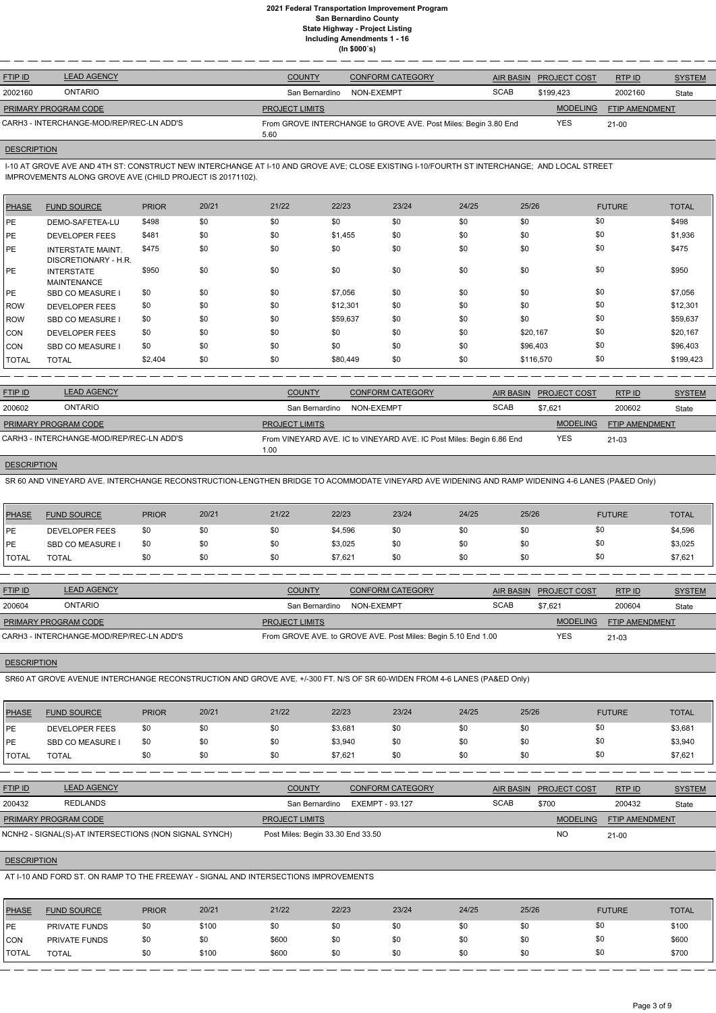| <b>FTIP ID</b>       | <b>LEAD AGENCY</b>                       | <b>COUNTY</b>         | CONFORM CATEGORY                                                | <b>AIR BASIN</b> | <b>PROJECT COST</b> | RTP ID                | <b>SYSTEM</b> |
|----------------------|------------------------------------------|-----------------------|-----------------------------------------------------------------|------------------|---------------------|-----------------------|---------------|
| 2002160              | <b>ONTARIO</b>                           | San Bernardino        | NON-EXEMPT                                                      | <b>SCAB</b>      | \$199.423           | 2002160               | State         |
| PRIMARY PROGRAM CODE |                                          | <b>PROJECT LIMITS</b> |                                                                 |                  | <b>MODELING</b>     | <b>FTIP AMENDMENT</b> |               |
|                      | CARH3 - INTERCHANGE-MOD/REP/REC-LN ADD'S | 5.60                  | From GROVE INTERCHANGE to GROVE AVE. Post Miles: Begin 3.80 End |                  | <b>YES</b>          | $21 - 00$             |               |

# **DESCRIPTION**

I-10 AT GROVE AVE AND 4TH ST: CONSTRUCT NEW INTERCHANGE AT I-10 AND GROVE AVE; CLOSE EXISTING I-10/FOURTH ST INTERCHANGE; AND LOCAL STREET IMPROVEMENTS ALONG GROVE AVE (CHILD PROJECT IS 20171102).

| <b>PHASE</b> | <b>FUND SOURCE</b>                               | <b>PRIOR</b> | 20/21 | 21/22 | 22/23    | 23/24 | 24/25 | 25/26     | <b>FUTURE</b> | <b>TOTAL</b> |
|--------------|--------------------------------------------------|--------------|-------|-------|----------|-------|-------|-----------|---------------|--------------|
| PE           | DEMO-SAFETEA-LU                                  | \$498        | \$0   | \$0   | \$0      | \$0   | \$0   | \$0       | \$0           | \$498        |
| PE           | <b>DEVELOPER FEES</b>                            | \$481        | \$0   | \$0   | \$1,455  | \$0   | \$0   | \$0       | \$0           | \$1,936      |
| <b>IPE</b>   | <b>INTERSTATE MAINT.</b><br>DISCRETIONARY - H.R. | \$475        | \$0   | \$0   | \$0      | \$0   | \$0   | \$0       | \$0           | \$475        |
| <b>IPE</b>   | <b>INTERSTATE</b><br><b>MAINTENANCE</b>          | \$950        | \$0   | \$0   | \$0      | \$0   | \$0   | \$0       | \$0           | \$950        |
| PE           | <b>SBD CO MEASURE I</b>                          | \$0          | \$0   | \$0   | \$7,056  | \$0   | \$0   | \$0       | \$0           | \$7,056      |
| ROW          | <b>DEVELOPER FEES</b>                            | \$0          | \$0   | \$0   | \$12,301 | \$0   | \$0   | \$0       | \$0           | \$12,301     |
| ROW          | <b>SBD CO MEASURE I</b>                          | \$0          | \$0   | \$0   | \$59,637 | \$0   | \$0   | \$0       | \$0           | \$59,637     |
| ICON         | <b>DEVELOPER FEES</b>                            | \$0          | \$0   | \$0   | \$0      | \$0   | \$0   | \$20,167  | \$0           | \$20,167     |
| ICON         | <b>SBD CO MEASURE I</b>                          | \$0          | \$0   | \$0   | \$0      | \$0   | \$0   | \$96,403  | \$0           | \$96,403     |
| <b>TOTAL</b> | <b>TOTAL</b>                                     | \$2,404      | \$0   | \$0   | \$80,449 | \$0   | \$0   | \$116,570 | \$0           | \$199,423    |

| <b>FTIP ID</b>              | <b>LEAD AGENCY</b>                       | <b>COUNTY</b>         | <b>CONFORM CATEGORY</b>                                              | AIR BASIN   | <b>PROJECT COST</b> | RTP ID                | <b>SYSTEM</b> |
|-----------------------------|------------------------------------------|-----------------------|----------------------------------------------------------------------|-------------|---------------------|-----------------------|---------------|
| 200602                      | <b>ONTARIO</b>                           | San Bernardino        | NON-EXEMPT                                                           | <b>SCAB</b> | \$7.621             | 200602                | State         |
| <b>PRIMARY PROGRAM CODE</b> |                                          | <b>PROJECT LIMITS</b> |                                                                      |             | <b>MODELING</b>     | <b>FTIP AMENDMENT</b> |               |
|                             | CARH3 - INTERCHANGE-MOD/REP/REC-LN ADD'S | 1.00                  | From VINEYARD AVE. IC to VINEYARD AVE. IC Post Miles: Begin 6.86 End |             | YES                 | 21-03                 |               |

## **DESCRIPTION**

SR 60 AND VINEYARD AVE. INTERCHANGE RECONSTRUCTION-LENGTHEN BRIDGE TO ACOMMODATE VINEYARD AVE WIDENING AND RAMP WIDENING 4-6 LANES (PA&ED Only)

| <b>PHASE</b> | <b>FUND SOURCE</b>    | <b>PRIOR</b> | 20/21 | 21/22 | 22/23   | 23/24 | 24/25 | 25/26 | <b>FUTURE</b> | <b>TOTAL</b> |
|--------------|-----------------------|--------------|-------|-------|---------|-------|-------|-------|---------------|--------------|
| <b>IPE</b>   | <b>DEVELOPER FEES</b> | \$0          | \$0   | \$0   | \$4,596 | \$0   | \$0   | \$0   | \$0           | \$4,596      |
| <b>IPE</b>   | SBD CO MEASURE I      | \$0          | \$0   | \$0   | \$3,025 | \$0   | \$0   | \$0   | \$0           | \$3,025      |
| <b>TOTAL</b> | TOTAL                 | \$0          | \$0   | \$0   | \$7,621 | \$0   | \$0   | \$0   | \$0           | \$7,621      |

| <b>FTIP ID</b>              | <b>LEAD AGENCY</b>                       | <b>COUNTY</b>         | <b>CONFORM CATEGORY</b>                                       |             | AIR BASIN PROJECT COST | RTPID                 | <b>SYSTEM</b> |
|-----------------------------|------------------------------------------|-----------------------|---------------------------------------------------------------|-------------|------------------------|-----------------------|---------------|
| 200604                      | <b>ONTARIO</b>                           | San Bernardino        | NON-EXEMPT                                                    | <b>SCAB</b> | \$7.621                | 200604                | State         |
| <b>PRIMARY PROGRAM CODE</b> |                                          | <b>PROJECT LIMITS</b> |                                                               |             | <b>MODELING</b>        | <b>FTIP AMENDMENT</b> |               |
|                             | CARH3 - INTERCHANGE-MOD/REP/REC-LN ADD'S |                       | From GROVE AVE. to GROVE AVE. Post Miles: Begin 5.10 End 1.00 |             | YES                    | $21 - 03$             |               |

#### **DESCRIPTION**

SR60 AT GROVE AVENUE INTERCHANGE RECONSTRUCTION AND GROVE AVE. +/-300 FT. N/S OF SR 60-WIDEN FROM 4-6 LANES (PA&ED Only)

| <b>PHASE</b> | <b>FUND SOURCE</b>    | <b>PRIOR</b> | 20/21 | 21/22 | 22/23   | 23/24 | 24/25 | 25/26 | <b>FUTURE</b> | <b>TOTAL</b> |
|--------------|-----------------------|--------------|-------|-------|---------|-------|-------|-------|---------------|--------------|
| <b>IPE</b>   | <b>DEVELOPER FEES</b> | \$0          | \$0   | \$0   | \$3,681 | \$0   | \$0   | \$0   |               | \$3,681      |
| <b>IPE</b>   | <b>SBD CO MEASURE</b> | \$0          | \$0   | \$0   | \$3,940 | \$0   | \$0   | \$0   |               | \$3,940      |
| <b>TOTAL</b> | <b>TOTAL</b>          | \$0          | \$0   | \$0   | \$7,621 | \$0   | \$0   | \$0   |               | \$7,621      |

| <b>FTIP ID</b>              | <b>LEAD AGENCY</b>                                    | <b>COUNTY</b>                     | CONFORM CATEGORY |             | AIR BASIN PROJECT COST | RTPID          | <b>SYSTEM</b> |
|-----------------------------|-------------------------------------------------------|-----------------------------------|------------------|-------------|------------------------|----------------|---------------|
| 200432                      | <b>REDLANDS</b>                                       | San Bernardino                    | EXEMPT - 93.127  | <b>SCAB</b> | \$700                  | 200432         | State         |
| <b>PRIMARY PROGRAM CODE</b> |                                                       | <b>PROJECT LIMITS</b>             |                  |             | <b>MODELING</b>        | FTIP AMENDMENT |               |
|                             | NCNH2 - SIGNAL(S)-AT INTERSECTIONS (NON SIGNAL SYNCH) | Post Miles: Begin 33.30 End 33.50 |                  |             | <b>NO</b>              | $21 - 00$      |               |

## **DESCRIPTION**

AT I-10 AND FORD ST. ON RAMP TO THE FREEWAY - SIGNAL AND INTERSECTIONS IMPROVEMENTS

| <b>PHASE</b>  | <b>FUND SOURCE</b>   | <b>PRIOR</b> | 20/21 | 21/22 | 22/23 | 23/24 | 24/25 | 25/26 | <b>FUTURE</b> | <b>TOTAL</b> |
|---------------|----------------------|--------------|-------|-------|-------|-------|-------|-------|---------------|--------------|
| <b>IPE</b>    | <b>PRIVATE FUNDS</b> | \$0          | \$100 | \$0   | \$0   | \$0   | \$0   | YO.   | \$0           | \$100        |
| CON           | <b>PRIVATE FUNDS</b> | \$0          | \$0   | \$600 | \$0   | \$0   | \$0   | \$0   | \$0           | \$600        |
| <b>ITOTAL</b> | <b>TOTAL</b>         | \$0          | \$100 | \$600 | \$0   | \$0   | \$0   | \$0   | \$0           | \$700        |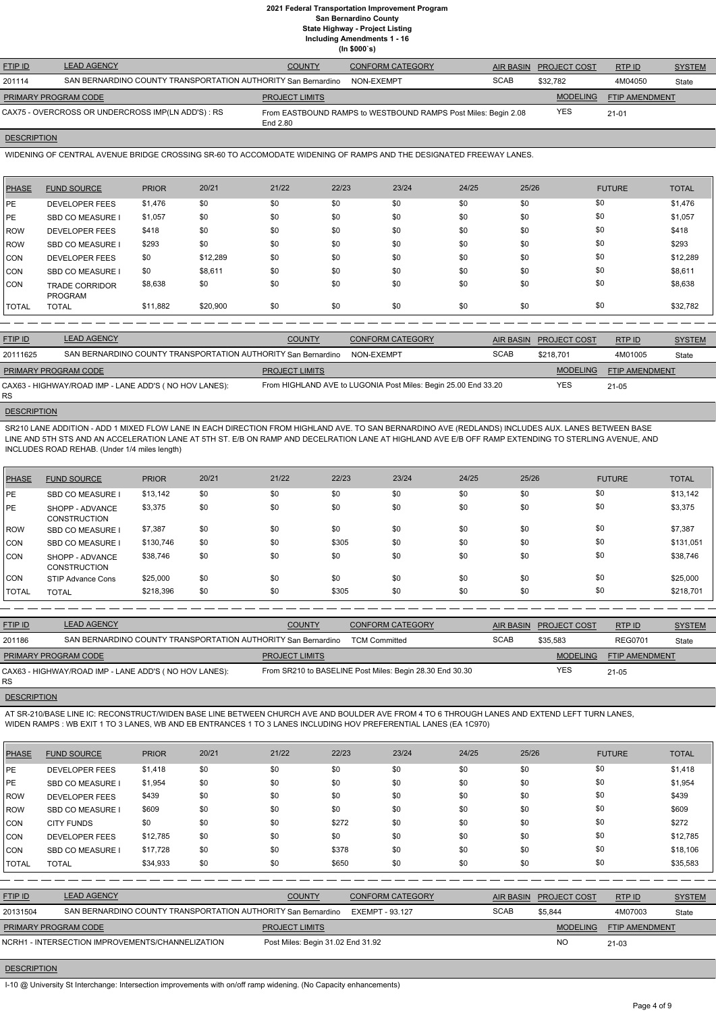| <b>FTIP ID</b>       | <b>LEAD AGENCY</b>                                            | <b>COUNTY</b>         | <b>CONFORM CATEGORY</b>                                        |             | AIR BASIN PROJECT COST | RTPID          | <b>SYSTEM</b> |
|----------------------|---------------------------------------------------------------|-----------------------|----------------------------------------------------------------|-------------|------------------------|----------------|---------------|
| 201114               | SAN BERNARDINO COUNTY TRANSPORTATION AUTHORITY San Bernardino |                       | NON-EXEMPT                                                     | <b>SCAB</b> | \$32.782               | 4M04050        | State         |
| PRIMARY PROGRAM CODE |                                                               | <b>PROJECT LIMITS</b> |                                                                |             | <b>MODELING</b>        | FTIP AMENDMENT |               |
|                      | CAX75 - OVERCROSS OR UNDERCROSS IMP(LN ADD'S) : RS            | End 2.80              | From EASTBOUND RAMPS to WESTBOUND RAMPS Post Miles: Begin 2.08 |             | <b>YES</b>             | $21 - 01$      |               |

## **DESCRIPTION**

WIDENING OF CENTRAL AVENUE BRIDGE CROSSING SR-60 TO ACCOMODATE WIDENING OF RAMPS AND THE DESIGNATED FREEWAY LANES.

| PHASE        | <b>FUND SOURCE</b>                      | <b>PRIOR</b> | 20/21    | 21/22 | 22/23 | 23/24 | 24/25 | 25/26 | <b>FUTURE</b> | <b>TOTAL</b> |
|--------------|-----------------------------------------|--------------|----------|-------|-------|-------|-------|-------|---------------|--------------|
| PE           | <b>DEVELOPER FEES</b>                   | \$1,476      | \$0      | \$0   | \$0   | \$0   | \$0   | \$0   | \$0           | \$1,476      |
| PE           | <b>SBD CO MEASURE</b>                   | \$1,057      | \$0      | \$0   | \$0   | \$0   | \$0   | \$0   | \$0           | \$1,057      |
| <b>IROW</b>  | <b>DEVELOPER FEES</b>                   | \$418        | \$0      | \$0   | \$0   | \$0   | \$0   | \$0   | \$0           | \$418        |
| <b>IROW</b>  | <b>SBD CO MEASURE I</b>                 | \$293        | \$0      | \$0   | \$0   | \$0   | \$0   | \$0   | \$0           | \$293        |
| CON          | <b>DEVELOPER FEES</b>                   | \$0          | \$12,289 | \$0   | \$0   | \$0   | \$0   | \$0   | \$0           | \$12,289     |
| <b>CON</b>   | <b>SBD CO MEASURE</b>                   | \$0          | \$8,611  | \$0   | \$0   | \$0   | \$0   | \$0   | \$0           | \$8,611      |
| <b>CON</b>   | <b>TRADE CORRIDOR</b><br><b>PROGRAM</b> | \$8,638      | \$0      | \$0   | \$0   | \$0   | \$0   | \$0   | \$0           | \$8,638      |
| <b>TOTAL</b> | <b>TOTAL</b>                            | \$11,882     | \$20,900 | \$0   | \$0   | \$0   | \$0   | \$0   | \$0           | \$32,782     |

| <b>FTIP ID</b>              | <b>LEAD AGENCY</b>                                            | <b>COUNTY</b>         | <b>CONFORM CATEGORY</b>                                        |             | AIR BASIN PROJECT COST | RTPID                 | <b>SYSTEM</b> |
|-----------------------------|---------------------------------------------------------------|-----------------------|----------------------------------------------------------------|-------------|------------------------|-----------------------|---------------|
| 20111625                    | SAN BERNARDINO COUNTY TRANSPORTATION AUTHORITY San Bernardino |                       | NON-EXEMPT                                                     | <b>SCAB</b> | \$218.701              | 4M01005               | State         |
| <b>PRIMARY PROGRAM CODE</b> |                                                               | <b>PROJECT LIMITS</b> |                                                                |             | <b>MODELING</b>        | <b>FTIP AMENDMENT</b> |               |
| RS.                         | CAX63 - HIGHWAY/ROAD IMP - LANE ADD'S (NO HOV LANES):         |                       | From HIGHLAND AVE to LUGONIA Post Miles: Begin 25.00 End 33.20 |             | YES                    | $21 - 05$             |               |

# **DESCRIPTION**

SR210 LANE ADDITION - ADD 1 MIXED FLOW LANE IN EACH DIRECTION FROM HIGHLAND AVE. TO SAN BERNARDINO AVE (REDLANDS) INCLUDES AUX. LANES BETWEEN BASE LINE AND 5TH STS AND AN ACCELERATION LANE AT 5TH ST. E/B ON RAMP AND DECELRATION LANE AT HIGHLAND AVE E/B OFF RAMP EXTENDING TO STERLING AVENUE, AND INCLUDES ROAD REHAB. (Under 1/4 miles length)

| PHASE         | <b>FUND SOURCE</b>                     | <b>PRIOR</b> | 20/21 | 21/22 | 22/23 | 23/24 | 24/25 | 25/26 | <b>FUTURE</b> | <b>TOTAL</b> |
|---------------|----------------------------------------|--------------|-------|-------|-------|-------|-------|-------|---------------|--------------|
| <b>PE</b>     | <b>SBD CO MEASURE I</b>                | \$13,142     | \$0   | \$0   | \$0   | \$0   | \$0   | \$0   | \$0           | \$13,142     |
| <b>IPE</b>    | SHOPP - ADVANCE<br><b>CONSTRUCTION</b> | \$3,375      | \$0   | \$0   | \$0   | \$0   | \$0   | \$0   | \$0           | \$3,375      |
| <b>IROW</b>   | <b>SBD CO MEASURE I</b>                | \$7,387      | \$0   | \$0   | \$0   | \$0   | \$0   | \$0   | \$0           | \$7,387      |
| <b>ICON</b>   | <b>SBD CO MEASURE I</b>                | \$130,746    | \$0   | \$0   | \$305 | \$0   | \$0   | \$0   | \$0           | \$131,051    |
| <b>CON</b>    | SHOPP - ADVANCE<br><b>CONSTRUCTION</b> | \$38,746     | \$0   | \$0   | \$0   | \$0   | \$0   | \$0   | \$0           | \$38,746     |
| ICON          | STIP Advance Cons                      | \$25,000     | \$0   | \$0   | \$0   | \$0   | \$0   | \$0   | \$0           | \$25,000     |
| <b>ITOTAL</b> | <b>TOTAL</b>                           | \$218,396    | \$0   | \$0   | \$305 | \$0   | \$0   | \$0   | \$0           | \$218,701    |

| <b>FTIP ID</b>              | <b>LEAD AGENCY</b>                                            | <b>COUNTY</b>         | <b>CONFORM CATEGORY</b>                                  |             | AIR BASIN PROJECT COST | <b>RTPID</b>   | <b>SYSTEM</b> |
|-----------------------------|---------------------------------------------------------------|-----------------------|----------------------------------------------------------|-------------|------------------------|----------------|---------------|
| 201186                      | SAN BERNARDINO COUNTY TRANSPORTATION AUTHORITY San Bernardino |                       | <b>TCM Committed</b>                                     | <b>SCAB</b> | \$35.583               | <b>REG0701</b> | State         |
| <b>PRIMARY PROGRAM CODE</b> |                                                               | <b>PROJECT LIMITS</b> |                                                          |             | <b>MODELING</b>        | FTIP AMENDMENT |               |
| RS.                         | CAX63 - HIGHWAY/ROAD IMP - LANE ADD'S (NO HOV LANES):         |                       | From SR210 to BASELINE Post Miles: Begin 28.30 End 30.30 |             | <b>YES</b>             | $21 - 05$      |               |

### **DESCRIPTION**

AT SR-210/BASE LINE IC: RECONSTRUCT/WIDEN BASE LINE BETWEEN CHURCH AVE AND BOULDER AVE FROM 4 TO 6 THROUGH LANES AND EXTEND LEFT TURN LANES, WIDEN RAMPS : WB EXIT 1 TO 3 LANES, WB AND EB ENTRANCES 1 TO 3 LANES INCLUDING HOV PREFERENTIAL LANES (EA 1C970)

| 22/23<br>23/24<br>25/26<br>20/21<br>21/22<br><b>PRIOR</b><br>24/25<br><b>FUTURE</b><br><b>PHASE</b><br><b>FUND SOURCE</b> | <b>TOTAL</b> |
|---------------------------------------------------------------------------------------------------------------------------|--------------|
|---------------------------------------------------------------------------------------------------------------------------|--------------|

|              |                                                               | \$1,418  | \$0 | \$0                   | \$0   | \$0                     | \$0 | \$0              | \$0                 |                | \$1,418       |
|--------------|---------------------------------------------------------------|----------|-----|-----------------------|-------|-------------------------|-----|------------------|---------------------|----------------|---------------|
| <b>PE</b>    | <b>SBD CO MEASURE I</b>                                       | \$1,954  | \$0 | \$0                   | \$0   | \$0                     | \$0 | \$0              | \$0                 |                | \$1,954       |
| <b>ROW</b>   | <b>DEVELOPER FEES</b>                                         | \$439    | \$0 | \$0                   | \$0   | \$0                     | \$0 | \$0              | \$0                 |                | \$439         |
| ROW          | <b>SBD CO MEASURE I</b>                                       | \$609    | \$0 | \$0                   | \$0   | \$0                     | \$0 | \$0              | \$0                 |                | \$609         |
| CON          | <b>CITY FUNDS</b>                                             | \$0      | \$0 | \$0                   | \$272 | \$0                     | \$0 | \$0              | \$0                 |                | \$272         |
| <b>CON</b>   | <b>DEVELOPER FEES</b>                                         | \$12,785 | \$0 | \$0                   | \$0   | \$0                     | \$0 | \$0              | \$0                 |                | \$12,785      |
| <b>CON</b>   | SBD CO MEASURE I                                              | \$17,728 | \$0 | \$0                   | \$378 | \$0                     | \$0 | \$0              | \$0                 |                | \$18,106      |
| <b>TOTAL</b> | <b>TOTAL</b>                                                  | \$34,933 | \$0 | \$0                   | \$650 | \$0                     | \$0 | \$0              | \$0                 |                | \$35,583      |
|              |                                                               |          |     |                       |       |                         |     |                  |                     |                |               |
|              |                                                               |          |     |                       |       |                         |     |                  |                     |                |               |
| FTIP ID      | <b>LEAD AGENCY</b>                                            |          |     | <b>COUNTY</b>         |       | <b>CONFORM CATEGORY</b> |     | <b>AIR BASIN</b> | <b>PROJECT COST</b> | RTP ID         | <b>SYSTEM</b> |
| 20131504     | SAN BERNARDINO COUNTY TRANSPORTATION AUTHORITY San Bernardino |          |     |                       |       | <b>EXEMPT - 93.127</b>  |     | <b>SCAB</b>      | \$5,844             | 4M07003        | State         |
|              | PRIMARY PROGRAM CODE                                          |          |     | <b>PROJECT LIMITS</b> |       |                         |     |                  | <b>MODELING</b>     | FTIP AMENDMENT |               |

# **DESCRIPTION**

I-10 @ University St Interchange: Intersection improvements with on/off ramp widening. (No Capacity enhancements)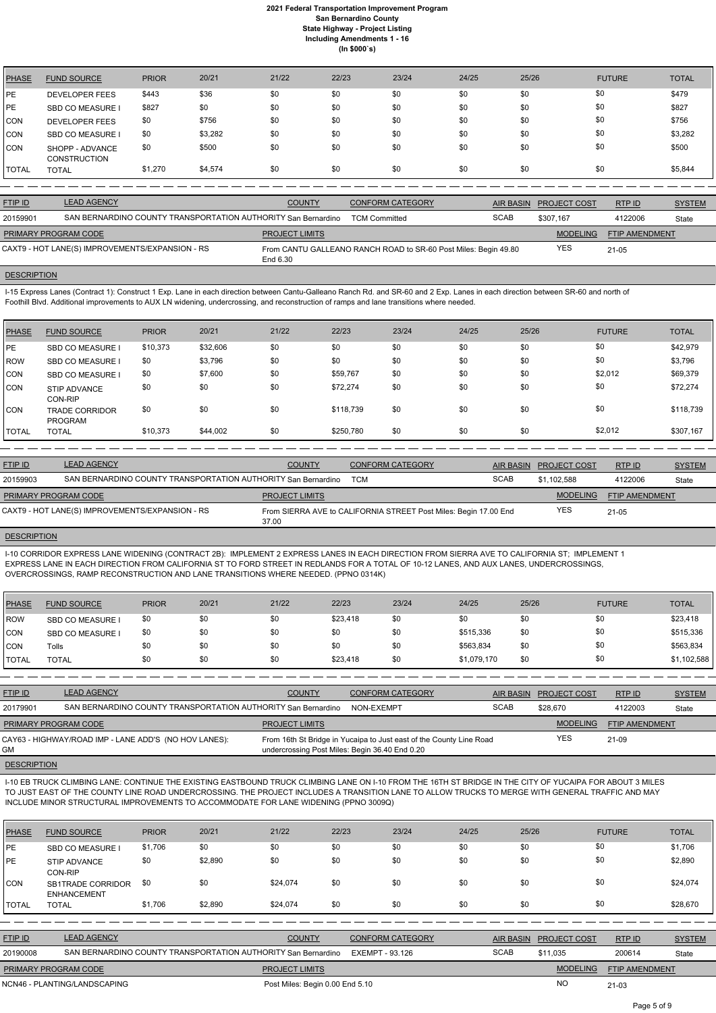| <b>PHASE</b> | <b>FUND SOURCE</b>                     | <b>PRIOR</b> | 20/21   | 21/22 | 22/23 | 23/24 | 24/25 | 25/26 | <b>FUTURE</b> | <b>TOTAL</b> |
|--------------|----------------------------------------|--------------|---------|-------|-------|-------|-------|-------|---------------|--------------|
| <b>PE</b>    | <b>DEVELOPER FEES</b>                  | \$443        | \$36    | \$0   | \$0   | \$0   | \$0   | \$0   | \$0           | \$479        |
| <b>PE</b>    | SBD CO MEASURE I                       | \$827        | \$0     | \$0   | \$0   | \$0   | \$0   | \$0   | \$0           | \$827        |
| <b>CON</b>   | <b>DEVELOPER FEES</b>                  | \$0          | \$756   | \$0   | \$0   | \$0   | \$0   | \$0   | \$0           | \$756        |
| <b>CON</b>   | SBD CO MEASURE I                       | \$0          | \$3,282 | \$0   | \$0   | \$0   | \$0   | \$0   | \$0           | \$3,282      |
| <b>CON</b>   | SHOPP - ADVANCE<br><b>CONSTRUCTION</b> | \$0          | \$500   | \$0   | \$0   | \$0   | \$0   | \$0   | \$0           | \$500        |
| <b>TOTAL</b> | <b>TOTAL</b>                           | \$1,270      | \$4,574 | \$0   | \$0   | \$0   | \$0   | \$0   | \$0           | \$5,844      |

| <b>FTIP ID</b>       | <b>LEAD AGENCY</b>                                            | <b>COUNTY</b>         | <b>CONFORM CATEGORY</b>                                         |             | AIR BASIN PROJECT COST | RTPID                 | <b>SYSTEM</b> |
|----------------------|---------------------------------------------------------------|-----------------------|-----------------------------------------------------------------|-------------|------------------------|-----------------------|---------------|
| 20159901             | SAN BERNARDINO COUNTY TRANSPORTATION AUTHORITY San Bernardino |                       | <b>TCM Committed</b>                                            | <b>SCAB</b> | \$307.167              | 4122006               | State         |
| PRIMARY PROGRAM CODE |                                                               | <b>PROJECT LIMITS</b> |                                                                 |             | <b>MODELING</b>        | <b>FTIP AMENDMENT</b> |               |
|                      | CAXT9 - HOT LANE(S) IMPROVEMENTS/EXPANSION - RS               | End 6.30              | From CANTU GALLEANO RANCH ROAD to SR-60 Post Miles: Begin 49.80 |             | <b>YES</b>             | $21 - 05$             |               |

#### **DESCRIPTION**

I-15 Express Lanes (Contract 1): Construct 1 Exp. Lane in each direction between Cantu-Galleano Ranch Rd. and SR-60 and 2 Exp. Lanes in each direction between SR-60 and north of Foothill Blvd. Additional improvements to AUX LN widening, undercrossing, and reconstruction of ramps and lane transitions where needed.

| <b>PHASE</b> | <b>FUND SOURCE</b>                      | <b>PRIOR</b> | 20/21    | 21/22 | 22/23     | 23/24 | 24/25 | 25/26 | <b>FUTURE</b> | <b>TOTAL</b> |
|--------------|-----------------------------------------|--------------|----------|-------|-----------|-------|-------|-------|---------------|--------------|
| PE           | <b>SBD CO MEASURE</b>                   | \$10,373     | \$32,606 | \$0   | \$0       | \$0   | \$0   | \$0   | \$0           | \$42,979     |
| ROW          | <b>SBD CO MEASURE</b>                   | \$0          | \$3,796  | \$0   | \$0       | \$0   | \$0   | \$0   | \$0           | \$3,796      |
| <b>CON</b>   | <b>SBD CO MEASURE I</b>                 | \$0          | \$7,600  | \$0   | \$59,767  | \$0   | \$0   | \$0   | \$2,012       | \$69,379     |
| CON          | <b>STIP ADVANCE</b><br><b>CON-RIP</b>   | \$0          | \$0      | \$0   | \$72,274  | \$0   | \$0   | \$0   | \$0           | \$72,274     |
| CON          | <b>TRADE CORRIDOR</b><br><b>PROGRAM</b> | \$0          | \$0      | \$0   | \$118,739 | \$0   | \$0   | \$0   | \$0           | \$118,739    |
| <b>TOTAL</b> | <b>TOTAL</b>                            | \$10,373     | \$44,002 | \$0   | \$250,780 | \$0   | \$0   | \$0   | \$2,012       | \$307,167    |

| <b>FTIP ID</b>       | <b>LEAD AGENCY</b>                                            | <b>COUNTY</b>         | <b>CONFORM CATEGORY</b>                                          | AIR BASIN   | <b>PROJECT COST</b> | RTP ID         | <b>SYSTEM</b> |
|----------------------|---------------------------------------------------------------|-----------------------|------------------------------------------------------------------|-------------|---------------------|----------------|---------------|
| 20159903             | SAN BERNARDINO COUNTY TRANSPORTATION AUTHORITY San Bernardino |                       | TCM                                                              | <b>SCAB</b> | \$1.102.588         | 4122006        | State         |
| PRIMARY PROGRAM CODE |                                                               | <b>PROJECT LIMITS</b> |                                                                  |             | <b>MODELING</b>     | FTIP AMENDMENT |               |
|                      | CAXT9 - HOT LANE(S) IMPROVEMENTS/EXPANSION - RS               | 37.00                 | From SIERRA AVE to CALIFORNIA STREET Post Miles: Begin 17.00 End |             | <b>YES</b>          | $21 - 05$      |               |

# **DESCRIPTION**

I-10 CORRIDOR EXPRESS LANE WIDENING (CONTRACT 2B): IMPLEMENT 2 EXPRESS LANES IN EACH DIRECTION FROM SIERRA AVE TO CALIFORNIA ST; IMPLEMENT 1 EXPRESS LANE IN EACH DIRECTION FROM CALIFORNIA ST TO FORD STREET IN REDLANDS FOR A TOTAL OF 10-12 LANES, AND AUX LANES, UNDERCROSSINGS, OVERCROSSINGS, RAMP RECONSTRUCTION AND LANE TRANSITIONS WHERE NEEDED. (PPNO 0314K)

| PHASE        | <b>FUND SOURCE</b>      | <b>PRIOR</b> | 20/21 | 21/22 | 22/23    | 23/24 | 24/25       | 25/26 | <b>FUTURE</b> | <b>TOTAL</b> |
|--------------|-------------------------|--------------|-------|-------|----------|-------|-------------|-------|---------------|--------------|
| l ROW        | <b>SBD CO MEASURE I</b> | \$0          | \$0   | \$0   | \$23,418 | \$0   | \$0         | \$0   | \$0           | \$23,418     |
| <b>CON</b>   | <b>SBD CO MEASURE I</b> | \$0          | \$0   | \$0   | \$0      | \$0   | \$515,336   | \$0   | \$0           | \$515,336    |
| <b>CON</b>   | Tolls                   | \$0          | \$0   | \$0   | \$0      | \$0   | \$563,834   | \$0   | \$0           | \$563,834    |
| <b>TOTAL</b> | <b>TOTAL</b>            | \$0          | \$0   | \$0   | \$23,418 | \$0   | \$1,079,170 | \$0   | \$0           | \$1,102,588  |

| <b>FTIP ID</b>              | <b>LEAD AGENCY</b>                                            | <b>COUNTY</b>                                  | CONFORM CATEGORY                                                    | <b>AIR BASIN</b> | <b>PROJECT COST</b> | RTP ID                | <b>SYSTEM</b> |
|-----------------------------|---------------------------------------------------------------|------------------------------------------------|---------------------------------------------------------------------|------------------|---------------------|-----------------------|---------------|
| 20179901                    | SAN BERNARDINO COUNTY TRANSPORTATION AUTHORITY San Bernardino |                                                | NON-EXEMPT                                                          | <b>SCAB</b>      | \$28,670            | 4122003               | State         |
| <b>PRIMARY PROGRAM CODE</b> |                                                               | <b>PROJECT LIMITS</b>                          |                                                                     |                  | <b>MODELING</b>     | <b>FTIP AMENDMENT</b> |               |
| GМ                          | CAY63 - HIGHWAY/ROAD IMP - LANE ADD'S (NO HOV LANES):         | undercrossing Post Miles: Begin 36.40 End 0.20 | From 16th St Bridge in Yucaipa to Just east of the County Line Road |                  | YES                 | 21-09                 |               |
|                             |                                                               |                                                |                                                                     |                  |                     |                       |               |

I-10 EB TRUCK CLIMBING LANE: CONTINUE THE EXISTING EASTBOUND TRUCK CLIMBING LANE ON I-10 FROM THE 16TH ST BRIDGE IN THE CITY OF YUCAIPA FOR ABOUT 3 MILES TO JUST EAST OF THE COUNTY LINE ROAD UNDERCROSSING. THE PROJECT INCLUDES A TRANSITION LANE TO ALLOW TRUCKS TO MERGE WITH GENERAL TRAFFIC AND MAY INCLUDE MINOR STRUCTURAL IMPROVEMENTS TO ACCOMMODATE FOR LANE WIDENING (PPNO 3009Q)



| <b>PHASE</b> | <b>FUND SOURCE</b>                             | <b>PRIOR</b> | 20/21   | 21/22    | 22/23 | 23/24 | 24/25 | 25/26 | <b>FUTURE</b> | <b>TOTAL</b> |
|--------------|------------------------------------------------|--------------|---------|----------|-------|-------|-------|-------|---------------|--------------|
| <b>IPE</b>   | <b>SBD CO MEASURE I</b>                        | \$1,706      | \$0     | \$0      | \$0   | \$0   | \$0   | \$0   | \$0           | \$1,706      |
| <b>IPE</b>   | <b>STIP ADVANCE</b><br>CON-RIP                 | \$0          | \$2,890 | \$0      | \$0   | \$0   | \$0   | \$0   | \$0           | \$2,890      |
| <b>CON</b>   | <b>SB1TRADE CORRIDOR</b><br><b>ENHANCEMENT</b> | \$0          | \$0     | \$24,074 | \$0   | \$0   | \$0   | \$0   | \$0           | \$24,074     |
| <b>TOTAL</b> | <b>TOTAL</b>                                   | \$1,706      | \$2,890 | \$24,074 | \$0   | \$0   | \$0   | \$0   | \$0           | \$28,670     |

| <b>FTIP ID</b>              | <b>LEAD AGENCY</b>                                            | <b>COUNTY</b>                   | <b>CONFORM CATEGORY</b> | AIR BASIN   | <b>PROJECT COST</b> | RTP ID                | <b>SYSTEM</b> |
|-----------------------------|---------------------------------------------------------------|---------------------------------|-------------------------|-------------|---------------------|-----------------------|---------------|
| 20190008                    | SAN BERNARDINO COUNTY TRANSPORTATION AUTHORITY San Bernardino |                                 | EXEMPT - 93.126         | <b>SCAB</b> | \$11.035            | 200614                | State         |
| <b>PRIMARY PROGRAM CODE</b> |                                                               | <b>PROJECT LIMITS</b>           |                         |             | <b>MODELING</b>     | <b>FTIP AMENDMENT</b> |               |
|                             | NCN46 - PLANTING/LANDSCAPING                                  | Post Miles: Begin 0.00 End 5.10 |                         |             | NC                  | $21 - 03$             |               |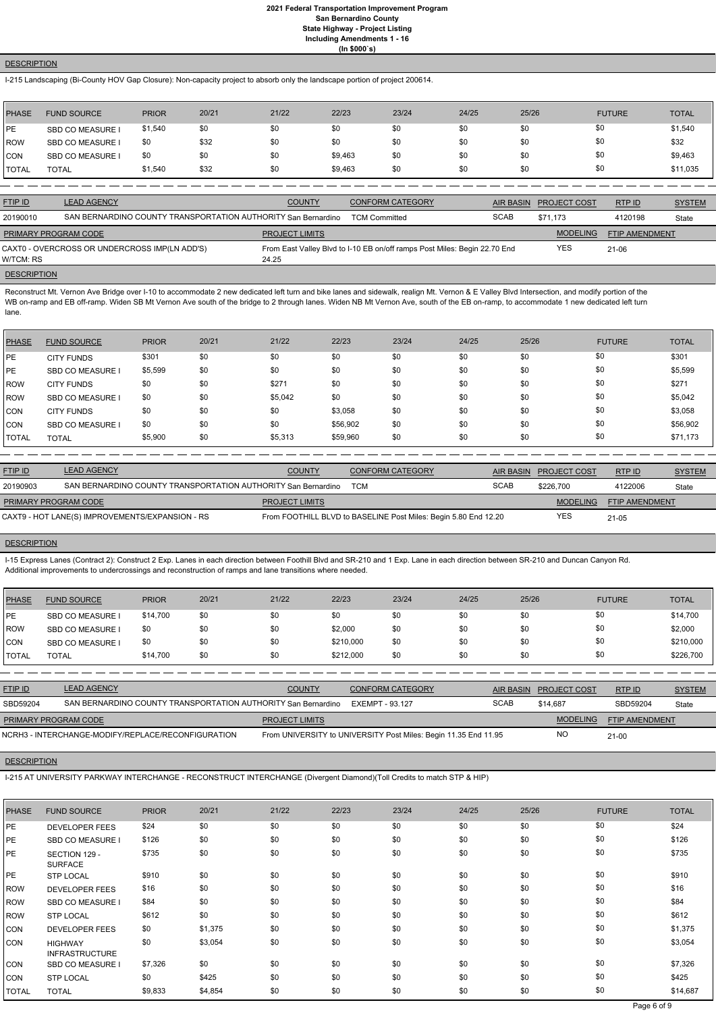## **DESCRIPTION**

I-215 Landscaping (Bi-County HOV Gap Closure): Non-capacity project to absorb only the landscape portion of project 200614.

| <b>PHASE</b> | <b>FUND SOURCE</b> | <b>PRIOR</b> | 20/21 | 21/22 | 22/23   | 23/24 | 24/25 | 25/26 | <b>FUTURE</b> | <b>TOTAL</b> |
|--------------|--------------------|--------------|-------|-------|---------|-------|-------|-------|---------------|--------------|
| <b>IPE</b>   | SBD CO MEASURE I   | \$1,540      | \$0   | \$0   | \$0     | \$0   | \$0   | \$0   | \$0           | \$1,540      |
| ROW          | SBD CO MEASURE I   | \$0          | \$32  | \$0   | \$0     | \$0   | \$0   | \$0   | \$0           | \$32         |
| CON          | SBD CO MEASURE I   | \$0          | \$0   | \$0   | \$9,463 | \$0   | \$0   | \$0   | \$0           | \$9,463      |
| TOTAL        | <b>TOTAL</b>       | \$1,540      | \$32  | \$0   | \$9,463 | \$0   | \$0   | \$0   | \$0           | \$11,035     |

Reconstruct Mt. Vernon Ave Bridge over I-10 to accommodate 2 new dedicated left turn and bike lanes and sidewalk, realign Mt. Vernon & E Valley Blvd Intersection, and modify portion of the WB on-ramp and EB off-ramp. Widen SB Mt Vernon Ave south of the bridge to 2 through lanes. Widen NB Mt Vernon Ave, south of the EB on-ramp, to accommodate 1 new dedicated left turn lane.

| <b>FTIP ID</b>              | <b>LEAD AGENCY</b>                                            | <b>COUNTY</b>         | <b>CONFORM CATEGORY</b>                                                   | AIR BASIN   | <b>PROJECT COST</b> | RTPID                 | <b>SYSTEM</b> |
|-----------------------------|---------------------------------------------------------------|-----------------------|---------------------------------------------------------------------------|-------------|---------------------|-----------------------|---------------|
| 20190010                    | SAN BERNARDINO COUNTY TRANSPORTATION AUTHORITY San Bernardino |                       | <b>TCM Committed</b>                                                      | <b>SCAB</b> | \$71.173            | 4120198               | State         |
| <b>PRIMARY PROGRAM CODE</b> |                                                               | <b>PROJECT LIMITS</b> |                                                                           |             | <b>MODELING</b>     | <b>FTIP AMENDMENT</b> |               |
| W/TCM: RS                   | CAXT0 - OVERCROSS OR UNDERCROSS IMP(LN ADD'S)                 | 24.25                 | From East Valley Blvd to I-10 EB on/off ramps Post Miles: Begin 22.70 End |             | YES                 | 21-06                 |               |
| <b>DESCRIPTION</b>          |                                                               |                       |                                                                           |             |                     |                       |               |

| <b>PHASE</b>   | <b>FUND SOURCE</b>      | <b>PRIOR</b> | 20/21 | 21/22   | 22/23    | 23/24 | 24/25 | 25/26 | <b>FUTURE</b> | <b>TOTAL</b> |
|----------------|-------------------------|--------------|-------|---------|----------|-------|-------|-------|---------------|--------------|
| PE             | <b>CITY FUNDS</b>       | \$301        | \$0   | \$0     | \$0      | \$0   | \$0   | \$0   | \$0           | \$301        |
| <b>IPE</b>     | <b>SBD CO MEASURE I</b> | \$5,599      | \$0   | \$0     | \$0      | \$0   | \$0   | \$0   | \$0           | \$5,599      |
| ROW            | <b>CITY FUNDS</b>       | \$0          | \$0   | \$27'   | \$0      | \$0   | \$0   | \$0   | \$0           | \$271        |
| <b>IROW</b>    | <b>SBD CO MEASURE I</b> | \$0          | \$0   | \$5,042 | \$0      | \$0   | \$0   | \$0   | \$0           | \$5,042      |
| <b>CON</b>     | <b>CITY FUNDS</b>       | \$0          | \$0   | \$0     | \$3,058  | \$0   | \$0   | \$0   | \$0           | \$3,058      |
| <b>CON</b>     | <b>SBD CO MEASURE I</b> | \$0          | \$0   | \$0     | \$56,902 | \$0   | \$0   | \$0   | \$0           | \$56,902     |
| <b>I</b> TOTAL | <b>TOTAL</b>            | \$5,900      | \$0   | \$5,313 | \$59,960 | \$0   | \$0   | \$0   | \$0           | \$71,173     |

| <b>FTIP ID</b>       | <b>LEAD AGENCY</b>                                            | <b>COUNTY</b>         | CONFORM CATEGORY                                                |             | AIR BASIN PROJECT COST | RTPID          | <b>SYSTEM</b> |
|----------------------|---------------------------------------------------------------|-----------------------|-----------------------------------------------------------------|-------------|------------------------|----------------|---------------|
| 20190903             | SAN BERNARDINO COUNTY TRANSPORTATION AUTHORITY San Bernardino |                       | <b>TCM</b>                                                      | <b>SCAB</b> | \$226,700              | 4122006        | State         |
| PRIMARY PROGRAM CODE |                                                               | <b>PROJECT LIMITS</b> |                                                                 |             | <b>MODELING</b>        | FTIP AMENDMENT |               |
|                      | CAXT9 - HOT LANE(S) IMPROVEMENTS/EXPANSION - RS               |                       | From FOOTHILL BLVD to BASELINE Post Miles: Begin 5.80 End 12.20 |             | YES                    | 21-05          |               |

### **DESCRIPTION**

I-15 Express Lanes (Contract 2): Construct 2 Exp. Lanes in each direction between Foothill Blvd and SR-210 and 1 Exp. Lane in each direction between SR-210 and Duncan Canyon Rd. Additional improvements to undercrossings and reconstruction of ramps and lane transitions where needed.

| PHASE         | <b>FUND SOURCE</b>      | <b>PRIOR</b> | 20/21 | 21/22 | 22/23     | 23/24 | 24/25 | 25/26 | <b>FUTURE</b> | <b>TOTAL</b> |
|---------------|-------------------------|--------------|-------|-------|-----------|-------|-------|-------|---------------|--------------|
| PE            | <b>SBD CO MEASURE I</b> | \$14,700     | \$0   | \$0   | \$0       | \$0   | \$0   | \$0   | \$0           | \$14,700     |
| ROW           | SBD CO MEASURE I        | \$0          | \$0   | \$0   | \$2,000   | \$0   | \$0   | \$0   | \$0           | \$2,000      |
| <b>CON</b>    | <b>SBD CO MEASURE I</b> | \$0          | \$0   | \$0   | \$210,000 | \$0   | \$0   | \$0   | \$0           | \$210,000    |
| <b>ITOTAL</b> | <b>TOTAL</b>            | \$14,700     | \$0   | \$0   | \$212,000 | \$0   | \$0   | \$0   | \$0           | \$226,700    |

| <b>FTIP ID</b>              | <b>LEAD AGENCY</b>                                            | <b>COUNTY</b>         | CONFORM CATEGORY                                                | AIR BASIN   | <b>PROJECT COST</b> | RTP ID                | <b>SYSTEM</b> |
|-----------------------------|---------------------------------------------------------------|-----------------------|-----------------------------------------------------------------|-------------|---------------------|-----------------------|---------------|
| SBD59204                    | SAN BERNARDINO COUNTY TRANSPORTATION AUTHORITY San Bernardino |                       | EXEMPT - 93.127                                                 | <b>SCAB</b> | \$14.687            | SBD59204              | State         |
| <b>PRIMARY PROGRAM CODE</b> |                                                               | <b>PROJECT LIMITS</b> |                                                                 |             | <b>MODELING</b>     | <b>FTIP AMENDMENT</b> |               |
|                             | NCRH3 - INTERCHANGE-MODIFY/REPLACE/RECONFIGURATION            |                       | From UNIVERSITY to UNIVERSITY Post Miles: Begin 11.35 End 11.95 |             | NO                  | $21 - 00$             |               |

# I-215 AT UNIVERSITY PARKWAY INTERCHANGE - RECONSTRUCT INTERCHANGE (Divergent Diamond)(Toll Credits to match STP & HIP)

| <b>PHASE</b> | <b>FUND SOURCE</b>                      | <b>PRIOR</b> | 20/21   | 21/22 | 22/23 | 23/24 | 24/25 | 25/26 | <b>FUTURE</b> | <b>TOTAL</b> |
|--------------|-----------------------------------------|--------------|---------|-------|-------|-------|-------|-------|---------------|--------------|
| PE           | <b>DEVELOPER FEES</b>                   | \$24         | \$0     | \$0   | \$0   | \$0   | \$0   | \$0   | \$0           | \$24         |
| PE           | <b>SBD CO MEASURE I</b>                 | \$126        | \$0     | \$0   | \$0   | \$0   | \$0   | \$0   | \$0           | \$126        |
| <b>IPE</b>   | SECTION 129 -<br><b>SURFACE</b>         | \$735        | \$0     | \$0   | \$0   | \$0   | \$0   | \$0   | \$0           | \$735        |
| <b>PE</b>    | <b>STP LOCAL</b>                        | \$910        | \$0     | \$0   | \$0   | \$0   | \$0   | \$0   | \$0           | \$910        |
| ROW          | <b>DEVELOPER FEES</b>                   | \$16         | \$0     | \$0   | \$0   | \$0   | \$0   | \$0   | \$0           | \$16         |
| ROW          | <b>SBD CO MEASURE I</b>                 | \$84         | \$0     | \$0   | \$0   | \$0   | \$0   | \$0   | \$0           | \$84         |
| ROW          | <b>STP LOCAL</b>                        | \$612        | \$0     | \$0   | \$0   | \$0   | \$0   | \$0   | \$0           | \$612        |
| CON          | <b>DEVELOPER FEES</b>                   | \$0          | \$1,375 | \$0   | \$0   | \$0   | \$0   | \$0   | \$0           | \$1,375      |
| CON          | <b>HIGHWAY</b><br><b>INFRASTRUCTURE</b> | \$0          | \$3,054 | \$0   | \$0   | \$0   | \$0   | \$0   | \$0           | \$3,054      |
| CON          | <b>SBD CO MEASURE</b>                   | \$7,326      | \$0     | \$0   | \$0   | \$0   | \$0   | \$0   | \$0           | \$7,326      |
| CON          | <b>STP LOCAL</b>                        | \$0          | \$425   | \$0   | \$0   | \$0   | \$0   | \$0   | \$0           | \$425        |
| TOTAL        | <b>TOTAL</b>                            | \$9,833      | \$4,854 | \$0   | \$0   | \$0   | \$0   | \$0   | \$0           | \$14,687     |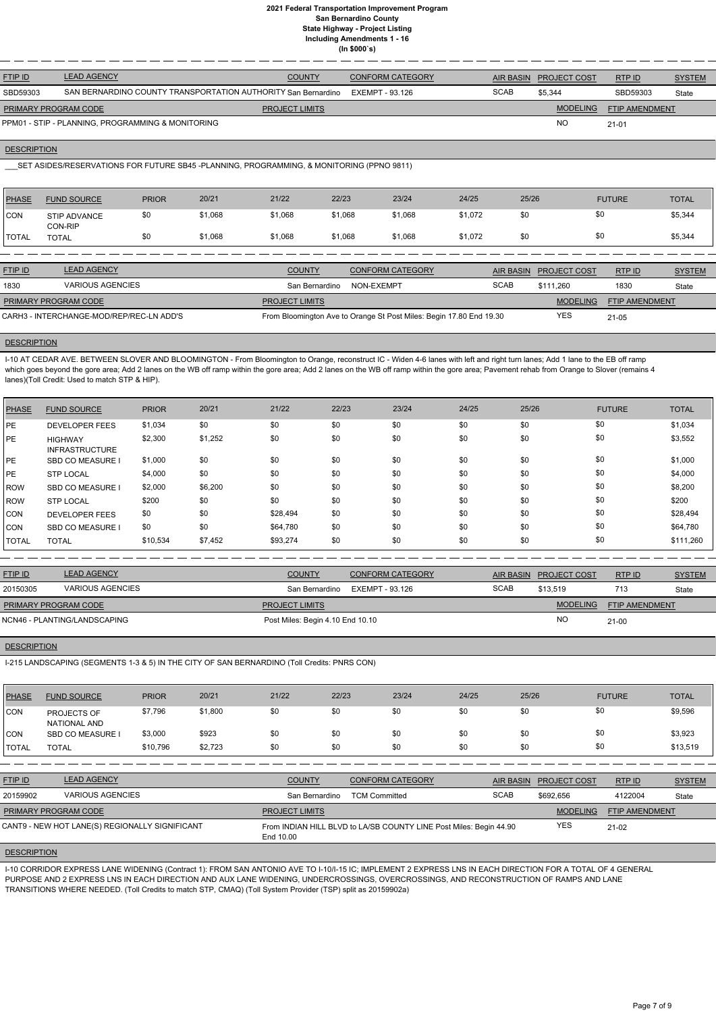| <b>FTIP ID</b>              | <b>LEAD AGENCY</b>                                            | <b>COUNTY</b>         | <b>CONFORM CATEGORY</b> | AIR BASIN   | <b>PROJECT COST</b> | <b>RTPID</b>          | <b>SYSTEM</b> |
|-----------------------------|---------------------------------------------------------------|-----------------------|-------------------------|-------------|---------------------|-----------------------|---------------|
| SBD59303                    | SAN BERNARDINO COUNTY TRANSPORTATION AUTHORITY San Bernardino |                       | EXEMPT - 93.126         | <b>SCAB</b> | \$5.344             | SBD59303              | State         |
| <b>PRIMARY PROGRAM CODE</b> |                                                               | <b>PROJECT LIMITS</b> |                         |             | <b>MODELING</b>     | <b>FTIP AMENDMENT</b> |               |
|                             | PPM01 - STIP - PLANNING, PROGRAMMING & MONITORING             |                       |                         |             | <b>NO</b>           | $21 - 01$             |               |

#### **DESCRIPTION**

\_\_\_SET ASIDES/RESERVATIONS FOR FUTURE SB45 -PLANNING, PROGRAMMING, & MONITORING (PPNO 9811)

| <b>PHASE</b>   | <b>FUND SOURCE</b>                       | <b>PRIOR</b> | 20/21   | 21/22                 | 22/23      | 23/24                                                               | 24/25   | 25/26            |                     | <b>FUTURE</b>         | <b>TOTAL</b>  |
|----------------|------------------------------------------|--------------|---------|-----------------------|------------|---------------------------------------------------------------------|---------|------------------|---------------------|-----------------------|---------------|
| <b>ICON</b>    | STIP ADVANCE<br>CON-RIP                  | \$0          | \$1,068 | \$1,068               | \$1,068    | \$1,068                                                             | \$1,072 | \$0              | \$0                 |                       | \$5,344       |
| <b>TOTAL</b>   | <b>TOTAL</b>                             | \$0          | \$1,068 | \$1,068               | \$1,068    | \$1,068                                                             | \$1,072 | \$0              | \$0                 |                       | \$5,344       |
|                |                                          |              |         |                       |            |                                                                     |         |                  |                     |                       |               |
| <b>FTIP ID</b> | <b>LEAD AGENCY</b>                       |              |         | <b>COUNTY</b>         |            | <b>CONFORM CATEGORY</b>                                             |         | <b>AIR BASIN</b> | <b>PROJECT COST</b> | RTPID                 | <b>SYSTEM</b> |
| 1830           | <b>VARIOUS AGENCIES</b>                  |              |         | San Bernardino        | NON-EXEMPT |                                                                     |         | <b>SCAB</b>      | \$111.260           | 1830                  | State         |
|                | PRIMARY PROGRAM CODE                     |              |         | <b>PROJECT LIMITS</b> |            |                                                                     |         |                  | <b>MODELING</b>     | <b>FTIP AMENDMENT</b> |               |
|                | CARH3 - INTERCHANGE-MOD/REP/REC-LN ADD'S |              |         |                       |            | From Bloomington Ave to Orange St Post Miles: Begin 17.80 End 19.30 |         |                  | <b>YES</b>          | $21 - 05$             |               |

### **DESCRIPTION**

I-10 AT CEDAR AVE. BETWEEN SLOVER AND BLOOMINGTON - From Bloomington to Orange, reconstruct IC - Widen 4-6 lanes with left and right turn lanes; Add 1 lane to the EB off ramp which goes beyond the gore area; Add 2 lanes on the WB off ramp within the gore area; Add 2 lanes on the WB off ramp within the gore area; Pavement rehab from Orange to Slover (remains 4 lanes)(Toll Credit: Used to match STP & HIP).

| PHASE          | <b>FUND SOURCE</b>                      | <b>PRIOR</b> | 20/21   | 21/22    | 22/23 | 23/24 | 24/25 | 25/26 | <b>FUTURE</b> | <b>TOTAL</b> |
|----------------|-----------------------------------------|--------------|---------|----------|-------|-------|-------|-------|---------------|--------------|
| PE             | <b>DEVELOPER FEES</b>                   | \$1,034      | \$0     | \$0      | \$0   | \$0   | \$0   | \$0   | \$0           | \$1,034      |
| PE             | <b>HIGHWAY</b><br><b>INFRASTRUCTURE</b> | \$2,300      | \$1,252 | \$0      | \$0   | \$0   | \$0   | \$0   | \$0           | \$3,552      |
| PE             | <b>SBD CO MEASURE</b>                   | \$1,000      | \$0     | \$0      | \$0   | \$0   | \$0   | \$0   | \$0           | \$1,000      |
| PE             | <b>STP LOCAL</b>                        | \$4,000      | \$0     | \$0      | \$0   | \$0   | \$0   | \$0   | \$0           | \$4,000      |
| <b>IROW</b>    | <b>SBD CO MEASURE</b>                   | \$2,000      | \$6,200 | \$0      | \$0   | \$0   | \$0   | \$0   | \$0           | \$8,200      |
| <b>IROW</b>    | <b>STP LOCAL</b>                        | \$200        | \$0     | \$0      | \$0   | \$0   | \$0   | \$0   | \$0           | \$200        |
| <b>CON</b>     | <b>DEVELOPER FEES</b>                   | \$0          | \$0     | \$28,494 | \$0   | \$0   | \$0   | \$0   | \$0           | \$28,494     |
| <b>CON</b>     | <b>SBD CO MEASURE I</b>                 | \$0          | \$0     | \$64,780 | \$0   | \$0   | \$0   | \$0   | \$0           | \$64,780     |
| <b>I</b> TOTAL | <b>TOTAL</b>                            | \$10,534     | \$7,452 | \$93,274 | \$0   | \$0   | \$0   | \$0   | \$0           | \$111,260    |

| <b>FTIP ID</b>              | <b>LEAD AGENCY</b>           | <b>COUNTY</b>                    | CONFORM CATEGORY |             | AIR BASIN PROJECT COST | RTPID                 | <b>SYSTEM</b> |
|-----------------------------|------------------------------|----------------------------------|------------------|-------------|------------------------|-----------------------|---------------|
| 20150305                    | VARIOUS AGENCIES             | San Bernardino                   | EXEMPT - 93.126  | <b>SCAB</b> | \$13.519               | 713                   | State         |
| <b>PRIMARY PROGRAM CODE</b> |                              | <b>PROJECT LIMITS</b>            |                  |             | <b>MODELING</b>        | <b>FTIP AMENDMENT</b> |               |
|                             | NCN46 - PLANTING/LANDSCAPING | Post Miles: Begin 4.10 End 10.10 |                  |             | <b>NC</b>              | $21 - 00$             |               |

#### **DESCRIPTION**

I-215 LANDSCAPING (SEGMENTS 1-3 & 5) IN THE CITY OF SAN BERNARDINO (Toll Credits: PNRS CON)

| <b>PHASE</b>  | <b>FUND SOURCE</b>          | <b>PRIOR</b> | 20/21   | 21/22 | 22/23 | 23/24 | 24/25 | 25/26 | <b>FUTURE</b> | <b>TOTAL</b> |
|---------------|-----------------------------|--------------|---------|-------|-------|-------|-------|-------|---------------|--------------|
| CON           | PROJECTS OF<br>NATIONAL AND | \$7,796      | \$1,800 | \$0   | \$0   | \$0   | \$0   | \$0   | \$0           | \$9,596      |
| CON           | <b>SBD CO MEASURE</b>       | \$3,000      | \$923   | \$0   | \$0   | \$0   | \$0   | \$0   | \$0           | \$3,923      |
| <b>ITOTAL</b> | <b>TOTAL</b>                | \$10,796     | \$2,723 | \$0   | \$0   | \$0   | \$0   | \$0   | \$0           | \$13,519     |

| <b>FTIP ID</b>              | <b>LEAD AGENCY</b>                             | <b>COUNTY</b>         | <b>CONFORM CATEGORY</b>                                            | AIR BASIN   | <b>PROJECT COST</b> | RTPID          | <b>SYSTEM</b> |
|-----------------------------|------------------------------------------------|-----------------------|--------------------------------------------------------------------|-------------|---------------------|----------------|---------------|
| 20159902                    | <b>VARIOUS AGENCIES</b>                        | San Bernardino        | <b>TCM Committed</b>                                               | <b>SCAB</b> | \$692.656           | 4122004        | State         |
| <b>PRIMARY PROGRAM CODE</b> |                                                | <b>PROJECT LIMITS</b> |                                                                    |             | <b>MODELING</b>     | FTIP AMENDMENT |               |
|                             | CANT9 - NEW HOT LANE(S) REGIONALLY SIGNIFICANT | End 10.00             | From INDIAN HILL BLVD to LA/SB COUNTY LINE Post Miles: Begin 44.90 |             | <b>YES</b>          | 21-02          |               |
| <b>DESCRIPTION</b>          |                                                |                       |                                                                    |             |                     |                |               |

I-10 CORRIDOR EXPRESS LANE WIDENING (Contract 1): FROM SAN ANTONIO AVE TO I-10/I-15 IC; IMPLEMENT 2 EXPRESS LNS IN EACH DIRECTION FOR A TOTAL OF 4 GENERAL PURPOSE AND 2 EXPRESS LNS IN EACH DIRECTION AND AUX LANE WIDENING, UNDERCROSSINGS, OVERCROSSINGS, AND RECONSTRUCTION OF RAMPS AND LANE TRANSITIONS WHERE NEEDED. (Toll Credits to match STP, CMAQ) (Toll System Provider (TSP) split as 20159902a)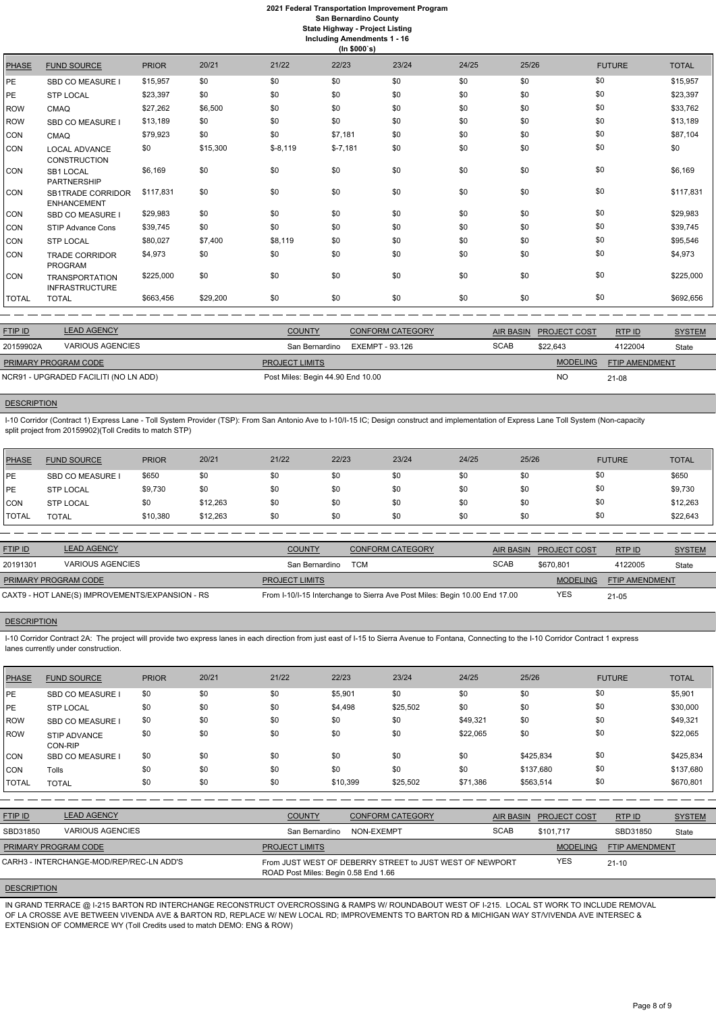|              | (ln \$000's)                                   |              |          |           |           |       |       |       |               |              |  |  |
|--------------|------------------------------------------------|--------------|----------|-----------|-----------|-------|-------|-------|---------------|--------------|--|--|
| <b>PHASE</b> | <b>FUND SOURCE</b>                             | <b>PRIOR</b> | 20/21    | 21/22     | 22/23     | 23/24 | 24/25 | 25/26 | <b>FUTURE</b> | <b>TOTAL</b> |  |  |
| РE.          | SBD CO MEASURE I                               | \$15,957     | \$0      | \$0       | \$0       | \$0   | \$0   | \$0   | \$0           | \$15,957     |  |  |
| РE.          | <b>STP LOCAL</b>                               | \$23,397     | \$0      | \$0       | \$0       | \$0   | \$0   | \$0   | \$0           | \$23,397     |  |  |
| ROW          | <b>CMAQ</b>                                    | \$27,262     | \$6,500  | \$0       | \$0       | \$0   | \$0   | \$0   | \$0           | \$33,762     |  |  |
| <b>ROW</b>   | SBD CO MEASURE I                               | \$13,189     | \$0      | \$0       | \$0       | \$0   | \$0   | \$0   | \$0           | \$13,189     |  |  |
| CON          | <b>CMAQ</b>                                    | \$79,923     | \$0      | \$0       | \$7,181   | \$0   | \$0   | \$0   | \$0           | \$87,104     |  |  |
| CON          | <b>LOCAL ADVANCE</b><br><b>CONSTRUCTION</b>    | \$0          | \$15,300 | $$-8,119$ | $$-7,181$ | \$0   | \$0   | \$0   | \$0           | \$0          |  |  |
| CON          | SB1 LOCAL<br><b>PARTNERSHIP</b>                | \$6,169      | \$0      | \$0       | \$0       | \$0   | \$0   | \$0   | \$0           | \$6,169      |  |  |
| CON          | <b>SB1TRADE CORRIDOR</b><br><b>ENHANCEMENT</b> | \$117,831    | \$0      | \$0       | \$0       | \$0   | \$0   | \$0   | \$0           | \$117,831    |  |  |
| CON          | <b>SBD CO MEASURE I</b>                        | \$29,983     | \$0      | \$0       | \$0       | \$0   | \$0   | \$0   | \$0           | \$29,983     |  |  |
| CON          | STIP Advance Cons                              | \$39,745     | \$0      | \$0       | \$0       | \$0   | \$0   | \$0   | \$0           | \$39,745     |  |  |
| CON          | <b>STP LOCAL</b>                               | \$80,027     | \$7,400  | \$8,119   | \$0       | \$0   | \$0   | \$0   | \$0           | \$95,546     |  |  |
| CON          | <b>TRADE CORRIDOR</b><br>PROGRAM               | \$4,973      | \$0      | \$0       | \$0       | \$0   | \$0   | \$0   | \$0           | \$4,973      |  |  |
| CON          | <b>TRANSPORTATION</b><br><b>INFRASTRUCTURE</b> | \$225,000    | \$0      | \$0       | \$0       | \$0   | \$0   | \$0   | \$0           | \$225,000    |  |  |
| TOTAL        | <b>TOTAL</b>                                   | \$663,456    | \$29,200 | \$0       | \$0       | \$0   | \$0   | \$0   | \$0           | \$692,656    |  |  |
|              |                                                |              |          |           |           |       |       |       |               |              |  |  |

| <b>FTIP ID</b>       | <b>LEAD AGENCY</b>                    | <b>COUNTY</b>                     | <b>CONFORM CATEGORY</b> | AIR BASIN   | <b>PROJECT COST</b> | RTP ID                | <b>SYSTEM</b> |
|----------------------|---------------------------------------|-----------------------------------|-------------------------|-------------|---------------------|-----------------------|---------------|
| 20159902A            | VARIOUS AGENCIES                      | San Bernardino                    | EXEMPT - 93.126         | <b>SCAB</b> | \$22.643            | 4122004               | State         |
| PRIMARY PROGRAM CODE |                                       | <b>PROJECT LIMITS</b>             |                         |             | <b>MODELING</b>     | <b>FTIP AMENDMENT</b> |               |
|                      | NCR91 - UPGRADED FACILITI (NO LN ADD) | Post Miles: Begin 44.90 End 10.00 |                         |             | NC                  | $21 - 08$             |               |
|                      |                                       |                                   |                         |             |                     |                       |               |

## **DESCRIPTION**

I-10 Corridor (Contract 1) Express Lane - Toll System Provider (TSP): From San Antonio Ave to I-10/I-15 IC; Design construct and implementation of Express Lane Toll System (Non-capacity split project from 20159902)(Toll Credits to match STP)

| PHASE        | <b>FUND SOURCE</b>      | <b>PRIOR</b> | 20/21    | 21/22 | 22/23 | 23/24 | 24/25 | 25/26 | <b>FUTURE</b> | <b>TOTAL</b> |
|--------------|-------------------------|--------------|----------|-------|-------|-------|-------|-------|---------------|--------------|
| l PE         | <b>SBD CO MEASURE I</b> | \$650        | \$0      | \$0   | \$0   | \$0   | \$0   | \$0   | \$0           | \$650        |
| l PE         | <b>STP LOCAL</b>        | \$9,730      | \$0      | \$0   | \$0   | \$0   | \$0   |       | \$0           | \$9,730      |
| CON          | <b>STP LOCAL</b>        | \$0          | \$12,263 | \$0   | \$0   | \$0   | \$0   | \$0   | \$0           | \$12,263     |
| <b>TOTAL</b> | <b>TOTAL</b>            | \$10,380     | \$12,263 | \$0   | \$0   | \$0   | \$0   | \$0   | \$0           | \$22,643     |

| <b>FTIP ID</b>              | <b>LEAD AGENCY</b>                              | <b>COUNTY</b>         | <b>CONFORM CATEGORY</b>                                                    |             | AIR BASIN PROJECT COST | RTPID                 | <b>SYSTEM</b> |
|-----------------------------|-------------------------------------------------|-----------------------|----------------------------------------------------------------------------|-------------|------------------------|-----------------------|---------------|
| 20191301                    | <b>VARIOUS AGENCIES</b>                         | San Bernardino        | TCM                                                                        | <b>SCAB</b> | \$670.801              | 4122005               | State         |
| <b>PRIMARY PROGRAM CODE</b> |                                                 | <b>PROJECT LIMITS</b> |                                                                            |             | <b>MODELING</b>        | <b>FTIP AMENDMENT</b> |               |
|                             | CAXT9 - HOT LANE(S) IMPROVEMENTS/EXPANSION - RS |                       | From I-10/I-15 Interchange to Sierra Ave Post Miles: Begin 10.00 End 17.00 |             | <b>YES</b>             | $21 - 05$             |               |

## **DESCRIPTION**

I-10 Corridor Contract 2A: The project will provide two express lanes in each direction from just east of I-15 to Sierra Avenue to Fontana, Connecting to the I-10 Corridor Contract 1 express lanes currently under construction.

| PHASE        | <b>FUND SOURCE</b>                       | <b>PRIOR</b> | 20/21 | 21/22                 | 22/23                                                                                            | 23/24                   | 24/25            | 25/26     |                     | <b>FUTURE</b>         | <b>TOTAL</b>  |
|--------------|------------------------------------------|--------------|-------|-----------------------|--------------------------------------------------------------------------------------------------|-------------------------|------------------|-----------|---------------------|-----------------------|---------------|
| PE           | <b>SBD CO MEASURE I</b>                  | \$0          | \$0   | \$0                   | \$5,901                                                                                          | \$0                     | \$0              | \$0       | \$0                 |                       | \$5,901       |
| PE           | <b>STP LOCAL</b>                         | \$0          | \$0   | \$0                   | \$4,498                                                                                          | \$25,502                | \$0              | \$0       | \$0                 |                       | \$30,000      |
| <b>ROW</b>   | <b>SBD CO MEASURE I</b>                  | \$0          | \$0   | \$0                   | \$0                                                                                              | \$0                     | \$49,321         | \$0       | \$0                 |                       | \$49,321      |
| ROW          | <b>STIP ADVANCE</b><br>CON-RIP           | \$0          | \$0   | \$0                   | \$0                                                                                              | \$0                     | \$22,065         | \$0       | \$0                 |                       | \$22,065      |
| <b>CON</b>   | <b>SBD CO MEASURE I</b>                  | \$0          | \$0   | \$0                   | \$0                                                                                              | \$0                     | \$0              | \$425,834 | \$0                 |                       | \$425,834     |
| <b>CON</b>   | Tolls                                    | \$0          | \$0   | \$0                   | \$0                                                                                              | \$0                     | \$0              | \$137,680 | \$0                 |                       | \$137,680     |
| <b>TOTAL</b> | <b>TOTAL</b>                             | \$0          | \$0   | \$0                   | \$10,399                                                                                         | \$25,502                | \$71,386         | \$563,514 | \$0                 |                       | \$670,801     |
|              |                                          |              |       |                       |                                                                                                  |                         |                  |           |                     |                       |               |
| FTIP ID      | <b>LEAD AGENCY</b>                       |              |       | <b>COUNTY</b>         |                                                                                                  | <b>CONFORM CATEGORY</b> | <b>AIR BASIN</b> |           | <b>PROJECT COST</b> | RTP ID                | <b>SYSTEM</b> |
| SBD31850     | <b>VARIOUS AGENCIES</b>                  |              |       | San Bernardino        | NON-EXEMPT                                                                                       |                         | <b>SCAB</b>      |           | \$101,717           | SBD31850              | State         |
|              | PRIMARY PROGRAM CODE                     |              |       | <b>PROJECT LIMITS</b> |                                                                                                  |                         |                  |           | <b>MODELING</b>     | <b>FTIP AMENDMENT</b> |               |
|              | CARH3 - INTERCHANGE-MOD/REP/REC-LN ADD'S |              |       |                       | From JUST WEST OF DEBERRY STREET to JUST WEST OF NEWPORT<br>ROAD Post Miles: Begin 0.58 End 1.66 |                         |                  |           | <b>YES</b>          | $21 - 10$             |               |

## **DESCRIPTION**

IN GRAND TERRACE @ I-215 BARTON RD INTERCHANGE RECONSTRUCT OVERCROSSING & RAMPS W/ ROUNDABOUT WEST OF I-215. LOCAL ST WORK TO INCLUDE REMOVAL OF LA CROSSE AVE BETWEEN VIVENDA AVE & BARTON RD, REPLACE W/ NEW LOCAL RD; IMPROVEMENTS TO BARTON RD & MICHIGAN WAY ST/VIVENDA AVE INTERSEC & EXTENSION OF COMMERCE WY (Toll Credits used to match DEMO: ENG & ROW)